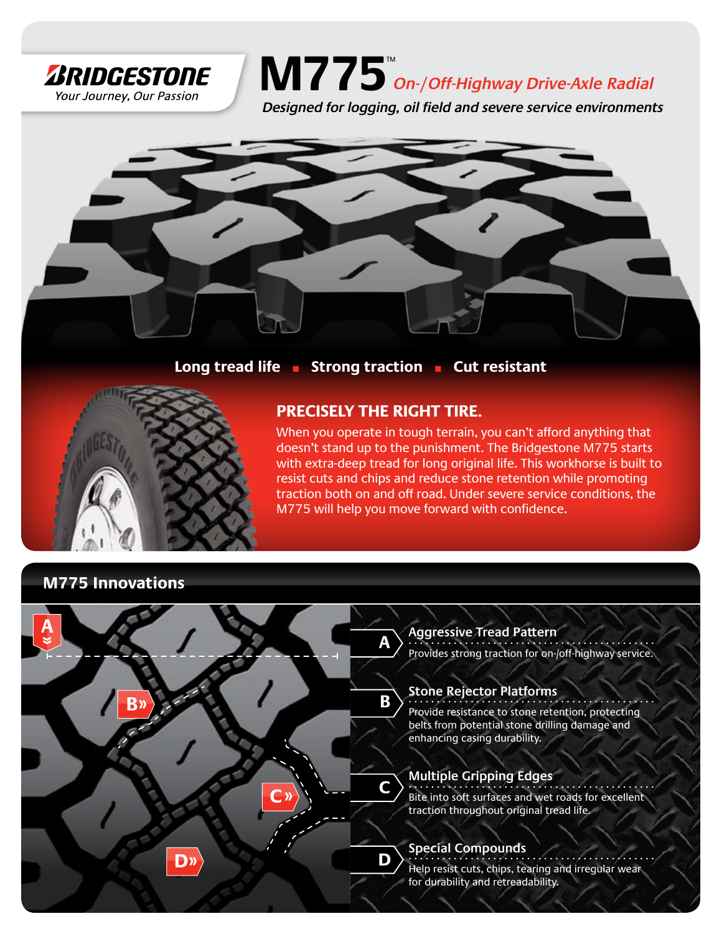

## $\textbf{M775}^{\textcolor{red}{\text{m}}\textcolor{red}{\text{m}}\textcolor{red}{\text{m}}\textcolor{red}{\text{m}}$

**Designed for logging, oil field and severe service environments**



**Long tread life** n **Strong traction** n **Cut resistant** 



## **Precisely the right tire.**

When you operate in tough terrain, you can't afford anything that doesn't stand up to the punishment. The Bridgestone M775 starts with extra-deep tread for long original life. This workhorse is built to resist cuts and chips and reduce stone retention while promoting traction both on and off road. Under severe service conditions, the M775 will help you move forward with confidence.

## **M775 Innovations**